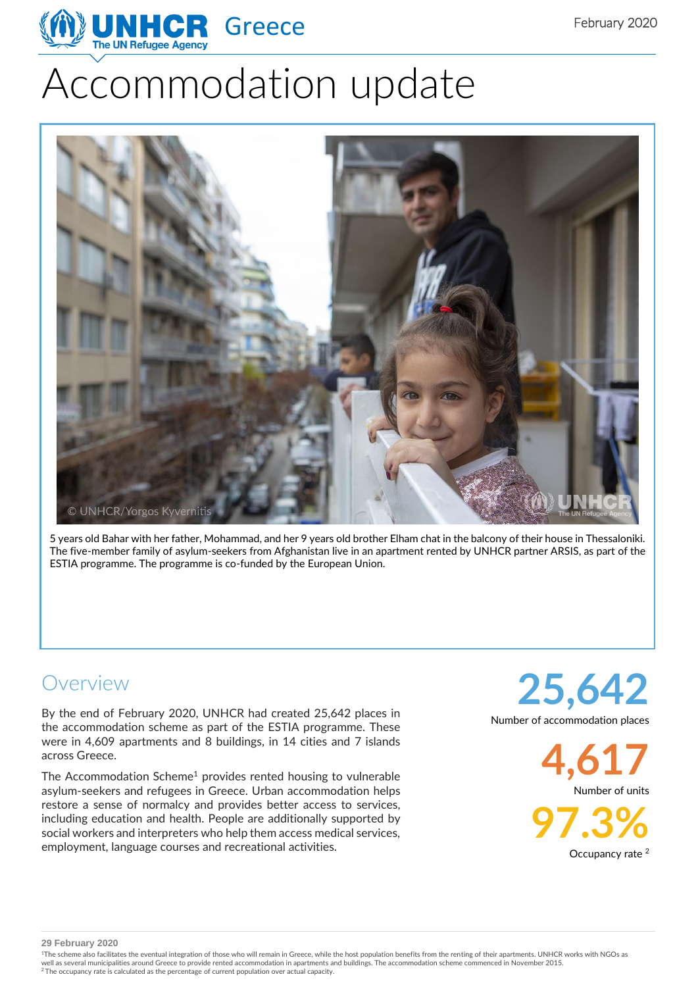

# Accommodation update



5 years old Bahar with her father, Mohammad, and her 9 years old brother Elham chat in the balcony of their house in Thessaloniki. The five-member family of asylum-seekers from Afghanistan live in an apartment rented by UNHCR partner ARSIS, as part of the ESTIA programme. The programme is co-funded by the European Union.

## Overview

By the end of February 2020, UNHCR had created 25,642 places in the accommodation scheme as part of the ESTIA programme. These were in 4,609 apartments and 8 buildings, in 14 cities and 7 islands across Greece.

The Accommodation Scheme<sup>1</sup> provides rented housing to vulnerable asylum-seekers and refugees in Greece. Urban accommodation helps restore a sense of normalcy and provides better access to services, including education and health. People are additionally supported by social workers and interpreters who help them access medical services, employment, language courses and recreational activities.

**25,642** Number of accommodation places

> **4,617** Number of units

**97.3%**

Occupancy rate <sup>2</sup>

**29 February 2020**

<sup>1</sup>The scheme also facilitates the eventual integration of those who will remain in Greece, while the host population benefits from the renting of their apartments. UNHCR works with NGOs as well as several municipalities around Greece to provide rented accommodation in apartments and buildings. The accommodation scheme commenced in November 2015.<br><sup>2</sup> The occupancy rate is calculated as the percentage of curre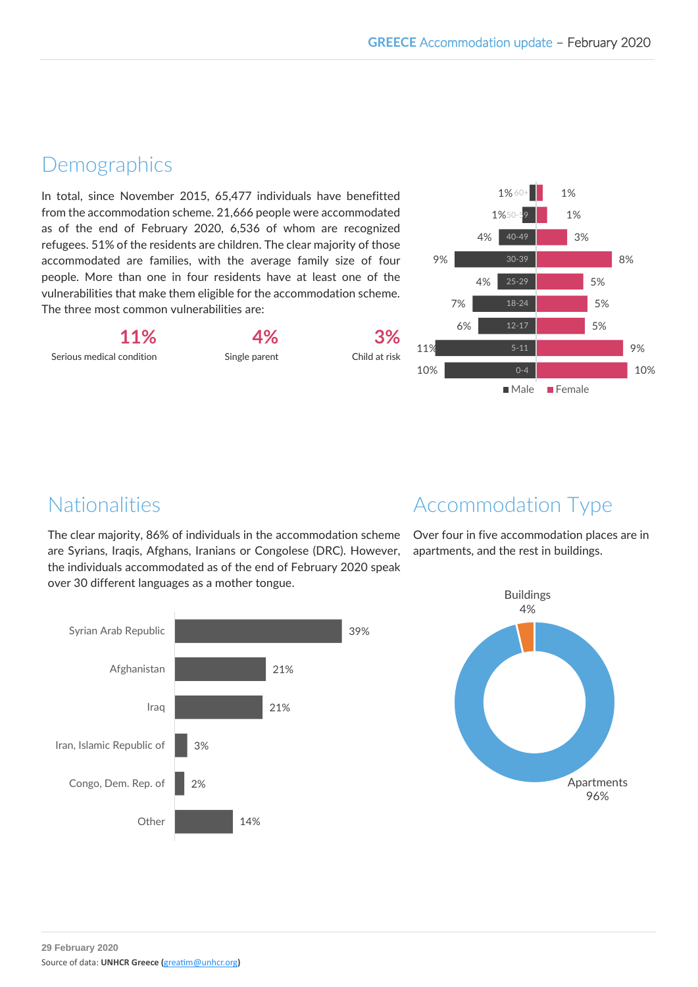#### **Demographics**

In total, since November 2015, 65,477 individuals have benefitted from the accommodation scheme. 21,666 people were accommodated as of the end of February 2020, 6,536 of whom are recognized refugees. 51% of the residents are children. The clear majority of those accommodated are families, with the average family size of four people. More than one in four residents have at least one of the vulnerabilities that make them eligible for the accommodation scheme. The three most common vulnerabilities are:

**11%** Serious medical condition

Single parent

**4%**

**3%** Child at risk



## Nationalities

The clear majority, 86% of individuals in the accommodation scheme are Syrians, Iraqis, Afghans, Iranians or Congolese (DRC). However, the individuals accommodated as of the end of February 2020 speak over 30 different languages as a mother tongue.



Over four in five accommodation places are in apartments, and the rest in buildings.



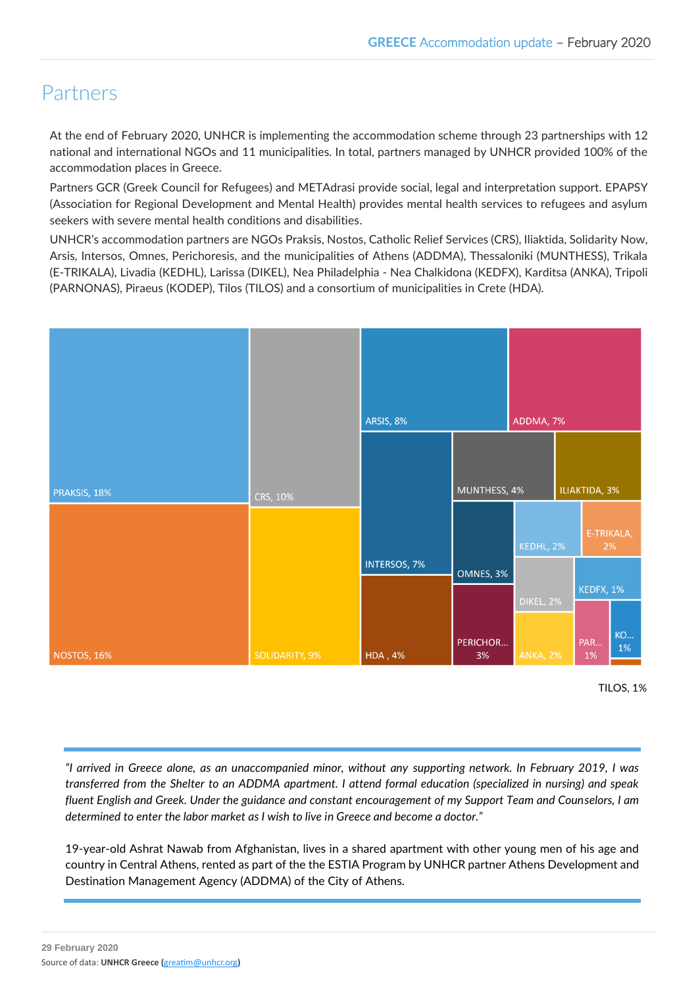#### Partners

At the end of February 2020, UNHCR is implementing the accommodation scheme through 23 partnerships with 12 national and international NGOs and 11 municipalities. In total, partners managed by UNHCR provided 100% of the accommodation places in Greece.

Partners GCR (Greek Council for Refugees) and METAdrasi provide social, legal and interpretation support. EPAPSY (Association for Regional Development and Mental Health) provides mental health services to refugees and asylum seekers with severe mental health conditions and disabilities.

UNHCR's accommodation partners are NGOs Praksis, Nostos, Catholic Relief Services (CRS), Iliaktida, Solidarity Now, Arsis, Intersos, Omnes, Perichoresis, and the municipalities of Athens (ADDMA), Thessaloniki (MUNTHESS), Trikala (E-TRIKALA), Livadia (KEDHL), Larissa (DIKEL), Nea Philadelphia - Nea Chalkidona (KEDFX), Karditsa (ANKA), Tripoli (PARNONAS), Piraeus (KODEP), Tilos (TILOS) and a consortium of municipalities in Crete (HDA).



TILOS, 1%

*"I arrived in Greece alone, as an unaccompanied minor, without any supporting network. In February 2019, I was transferred from the Shelter to an ADDMA apartment. I attend formal education (specialized in nursing) and speak fluent English and Greek. Under the guidance and constant encouragement of my Support Team and Counselors, I am determined to enter the labor market as I wish to live in Greece and become a doctor."*

19-year-old Ashrat Nawab from Afghanistan, lives in a shared apartment with other young men of his age and country in Central Athens, rented as part of the the ESTIA Program by UNHCR partner Athens Development and Destination Management Agency (ADDMA) of the City of Athens.